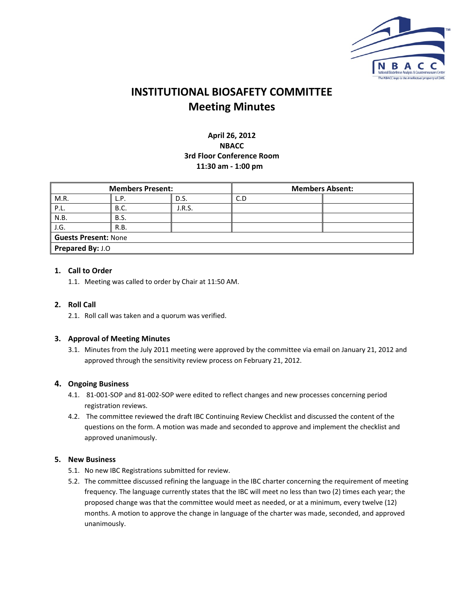

# **INSTITUTIONAL BIOSAFETY COMMITTEE Meeting Minutes**

# **April 26, 2012 NBACC 3rd Floor Conference Room 11:30 am ‐ 1:00 pm**

| <b>Members Present:</b> |             |        | <b>Members Absent:</b> |  |  |  |  |
|-------------------------|-------------|--------|------------------------|--|--|--|--|
| M.R.                    | L.P.        | D.S.   | C.D                    |  |  |  |  |
| P.L.                    | <b>B.C.</b> | J.R.S. |                        |  |  |  |  |
| N.B.                    | <b>B.S.</b> |        |                        |  |  |  |  |
| $\vert$ J.G.            | R.B.        |        |                        |  |  |  |  |
| Guests Present: None    |             |        |                        |  |  |  |  |
| Prepared By: J.O        |             |        |                        |  |  |  |  |

# **1. Call to Order**

1.1. Meeting was called to order by Chair at 11:50 AM.

## **2. Roll Call**

2.1. Roll call was taken and a quorum was verified.

## **3. Approval of Meeting Minutes**

3.1. Minutes from the July 2011 meeting were approved by the committee via email on January 21, 2012 and approved through the sensitivity review process on February 21, 2012.

## **4. Ongoing Business**

- 4.1. 81‐001‐SOP and 81‐002‐SOP were edited to reflect changes and new processes concerning period registration reviews.
- 4.2. The committee reviewed the draft IBC Continuing Review Checklist and discussed the content of the questions on the form. A motion was made and seconded to approve and implement the checklist and approved unanimously.

## **5. New Business**

- 5.1. No new IBC Registrations submitted for review.
- 5.2. The committee discussed refining the language in the IBC charter concerning the requirement of meeting frequency. The language currently states that the IBC will meet no less than two (2) times each year; the proposed change was that the committee would meet as needed, or at a minimum, every twelve (12) months. A motion to approve the change in language of the charter was made, seconded, and approved unanimously.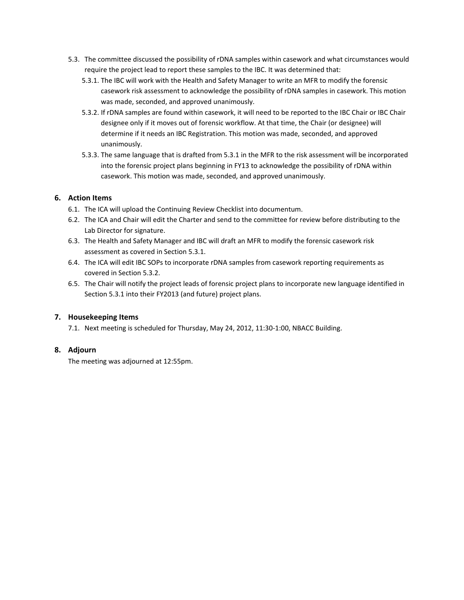- 5.3. The committee discussed the possibility of rDNA samples within casework and what circumstances would require the project lead to report these samples to the IBC. It was determined that:
	- 5.3.1. The IBC will work with the Health and Safety Manager to write an MFR to modify the forensic casework risk assessment to acknowledge the possibility of rDNA samples in casework. This motion was made, seconded, and approved unanimously.
	- 5.3.2. If rDNA samples are found within casework, it will need to be reported to the IBC Chair or IBC Chair designee only if it moves out of forensic workflow. At that time, the Chair (or designee) will determine if it needs an IBC Registration. This motion was made, seconded, and approved unanimously.
	- 5.3.3. The same language that is drafted from 5.3.1 in the MFR to the risk assessment will be incorporated into the forensic project plans beginning in FY13 to acknowledge the possibility of rDNA within casework. This motion was made, seconded, and approved unanimously.

# **6. Action Items**

- 6.1. The ICA will upload the Continuing Review Checklist into documentum.
- 6.2. The ICA and Chair will edit the Charter and send to the committee for review before distributing to the Lab Director for signature.
- 6.3. The Health and Safety Manager and IBC will draft an MFR to modify the forensic casework risk assessment as covered in Section 5.3.1.
- 6.4. The ICA will edit IBC SOPs to incorporate rDNA samples from casework reporting requirements as covered in Section 5.3.2.
- 6.5. The Chair will notify the project leads of forensic project plans to incorporate new language identified in Section 5.3.1 into their FY2013 (and future) project plans.

## **7. Housekeeping Items**

7.1. Next meeting is scheduled for Thursday, May 24, 2012, 11:30-1:00, NBACC Building.

# **8. Adjourn**

The meeting was adjourned at 12:55pm.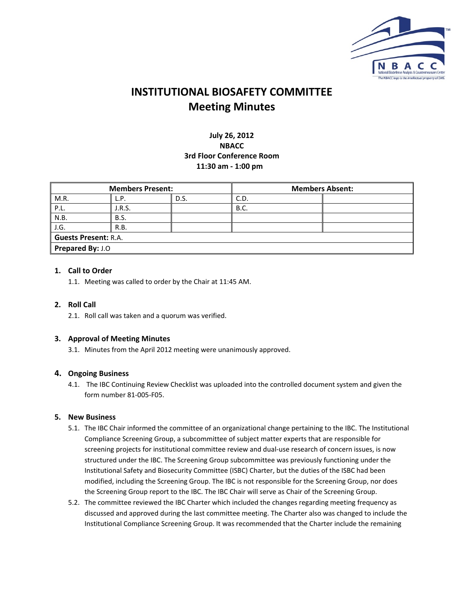

# **INSTITUTIONAL BIOSAFETY COMMITTEE Meeting Minutes**

# **July 26, 2012 NBACC 3rd Floor Conference Room 11:30 am ‐ 1:00 pm**

| <b>Members Present:</b> |             |      | <b>Members Absent:</b> |  |  |  |
|-------------------------|-------------|------|------------------------|--|--|--|
| M.R.                    | L.P.        | D.S. | C.D.                   |  |  |  |
| PL.                     | J.R.S.      |      | <b>B.C.</b>            |  |  |  |
| N.B.                    | <b>B.S.</b> |      |                        |  |  |  |
| J.G.                    | R.B.        |      |                        |  |  |  |
| Guests Present: R.A.    |             |      |                        |  |  |  |
| Prepared By: J.O        |             |      |                        |  |  |  |

# **1. Call to Order**

1.1. Meeting was called to order by the Chair at 11:45 AM.

# **2. Roll Call**

2.1. Roll call was taken and a quorum was verified.

## **3. Approval of Meeting Minutes**

3.1. Minutes from the April 2012 meeting were unanimously approved.

## **4. Ongoing Business**

4.1. The IBC Continuing Review Checklist was uploaded into the controlled document system and given the form number 81‐005‐F05.

## **5. New Business**

- 5.1. The IBC Chair informed the committee of an organizational change pertaining to the IBC. The Institutional Compliance Screening Group, a subcommittee of subject matter experts that are responsible for screening projects for institutional committee review and dual‐use research of concern issues, is now structured under the IBC. The Screening Group subcommittee was previously functioning under the Institutional Safety and Biosecurity Committee (ISBC) Charter, but the duties of the ISBC had been modified, including the Screening Group. The IBC is not responsible for the Screening Group, nor does the Screening Group report to the IBC. The IBC Chair will serve as Chair of the Screening Group.
- 5.2. The committee reviewed the IBC Charter which included the changes regarding meeting frequency as discussed and approved during the last committee meeting. The Charter also was changed to include the Institutional Compliance Screening Group. It was recommended that the Charter include the remaining